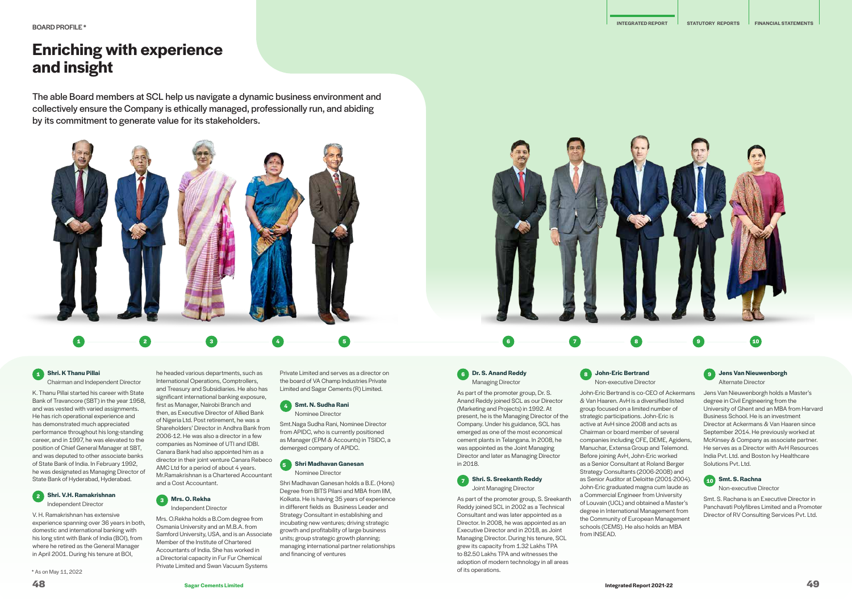# **Enriching with experience and insight**

The able Board members at SCL help us navigate a dynamic business environment and collectively ensure the Company is ethically managed, professionally run, and abiding by its commitment to generate value for its stakeholders.

## **1 Shri. K Thanu Pillai**

Chairman and Independent Director

K. Thanu Pillai started his career with State Bank of Travancore (SBT) in the year 1958, and was vested with varied assignments. He has rich operational experience and has demonstrated much appreciated performance throughout his long-standing career, and in 1997, he was elevated to the position of Chief General Manager at SBT, and was deputed to other associate banks of State Bank of India. In February 1992, he was designated as Managing Director of State Bank of Hyderabad, Hyderabad.

#### **2 Shri. V.H. Ramakrishnan** Independent Director

V. H. Ramakrishnan has extensive experience spanning over 36 years in both, domestic and international banking with his long stint with Bank of India (BOI), from where he retired as the General Manager in April 2001. During his tenure at BOI,

\* As on May 11, 2022

he headed various departments, such as

International Operations, Comptrollers, and Treasury and Subsidiaries. He also has significant international banking exposure, first as Manager, Nairobi Branch and then, as Executive Director of Allied Bank of Nigeria Ltd. Post retirement, he was a Shareholders' Director in Andhra Bank from 2006-12. He was also a director in a few companies as Nominee of UTI and IDBI. Canara Bank had also appointed him as a director in their joint venture Canara Rebeco AMC Ltd for a period of about 4 years. Mr.Ramakrishnan is a Chartered Accountant and a Cost Accountant.



Mrs. O.Rekha holds a B.Com degree from Osmania University and an M.B.A. from Samford University, USA, and is an Associate Member of the Institute of Chartered Accountants of India. She has worked in a Directorial capacity in Fur Fur Chemical Private Limited and Swan Vacuum Systems

Private Limited and serves as a director on the board of VA Champ Industries Private Limited and Sagar Cements (R) Limited.

### **4 Smt. N. Sudha Rani**

Nominee Director

Smt.Naga Sudha Rani, Nominee Director from APIDC, who is currently positioned as Manager (EPM & Accounts) in TSIDC, a demerged company of APIDC.

#### **5 Shri Madhavan Ganesan** Nominee Director

Shri Madhavan Ganesan holds a B.E. (Hons) Degree from BITS Pilani and MBA from IIM, Kolkata. He is having 35 years of experience in different fields as Business Leader and Strategy Consultant in establishing and incubating new ventures; driving strategic growth and profitability of large business units; group strategic growth planning; managing international partner relationships and financing of ventures



**6 Dr. S. Anand Reddy** Managing Director

in 2018.

**7 Shri. S. Sreekanth Reddy** Joint Managing Director

Director. In 2008, he was appointed as an Executive Director and in 2018, as Joint Managing Director. During his tenure, SCL grew its capacity from 1.32 Lakhs TPA to 82.50 Lakhs TPA and witnesses the adoption of modern technology in all areas

As part of the promoter group, Dr. S. Anand Reddy joined SCL as our Director (Marketing and Projects) in 1992. At present, he is the Managing Director of the Company. Under his guidance, SCL has emerged as one of the most economical cement plants in Telangana. In 2008, he was appointed as the Joint Managing Director and later as Managing Director As part of the promoter group, S. Sreekanth Reddy joined SCL in 2002 as a Technical Consultant and was later appointed as a & Van Haaren. AvH is a diversified listed group focused on a limited number of strategic participations. John-Eric is active at AvH since 2008 and acts as Chairman or board member of several companies including CFE, DEME, Agidens, Manuchar, Extensa Group and Telemond. Before joining AvH, John-Eric worked as a Senior Consultant at Roland Berger Strategy Consultants (2006-2008) and as Senior Auditor at Deloitte (2001-2004). John-Eric graduated magna cum laude as a Commercial Engineer from University of Louvain (UCL) and obtained a Master's degree in International Management from

of its operations.

**8 John-Eric Bertrand** Non-executive Director

John-Eric Bertrand is co-CEO of Ackermans the Community of European Management schools (CEMS). He also holds an MBA



from INSEAD.

#### **9 Jens Van Nieuwenborgh** Alternate Director

Jens Van Nieuwenborgh holds a Master's

degree in Civil Engineering from the University of Ghent and an MBA from Harvard Business School. He is an investment Director at Ackermans & Van Haaren since September 2014. He previously worked at McKinsey & Company as associate partner. He serves as a Director with AvH Resources India Pvt. Ltd. and Boston Ivy Healthcare Solutions Pvt. Ltd.

### **10 Smt. S. Rachna**

Non-executive Director

Smt. S. Rachana is an Executive Director in Panchavati Polyfibres Limited and a Promoter Director of RV Consulting Services Pvt. Ltd.